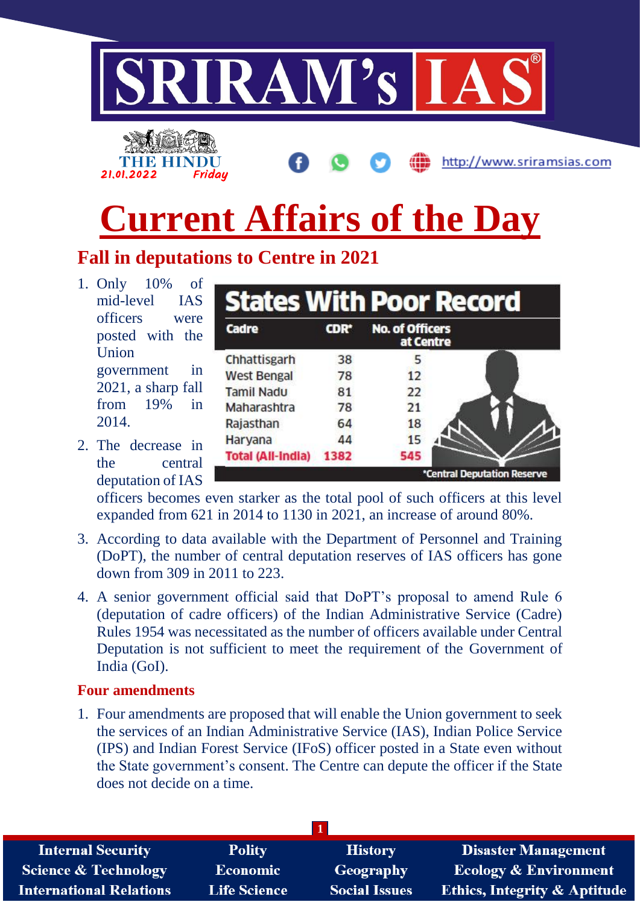

2. The decrease in the central deputation of IAS

> officers becomes even starker as the total pool of such officers at this level expanded from 621 in 2014 to 1130 in 2021, an increase of around 80%.

1382

545

\*Central Deputation Reserve

**Total (All-India)** 

- 3. According to data available with the Department of Personnel and Training (DoPT), the number of central deputation reserves of IAS officers has gone down from 309 in 2011 to 223.
- 4. A senior government official said that DoPT's proposal to amend Rule 6 (deputation of cadre officers) of the Indian Administrative Service (Cadre) Rules 1954 was necessitated as the number of officers available under Central Deputation is not sufficient to meet the requirement of the Government of India (GoI).

## **Four amendments**

1. Four amendments are proposed that will enable the Union government to seek the services of an Indian Administrative Service (IAS), Indian Police Service (IPS) and Indian Forest Service (IFoS) officer posted in a State even without the State government's consent. The Centre can depute the officer if the State does not decide on a time.

| <b>Internal Security</b>        | <b>Polity</b>       | <b>History</b>       | <b>Disaster Management</b>              |
|---------------------------------|---------------------|----------------------|-----------------------------------------|
| <b>Science &amp; Technology</b> | <b>Economic</b>     | <b>Geography</b>     | <b>Ecology &amp; Environment</b>        |
| <b>International Relations</b>  | <b>Life Science</b> | <b>Social Issues</b> | <b>Ethics, Integrity &amp; Aptitude</b> |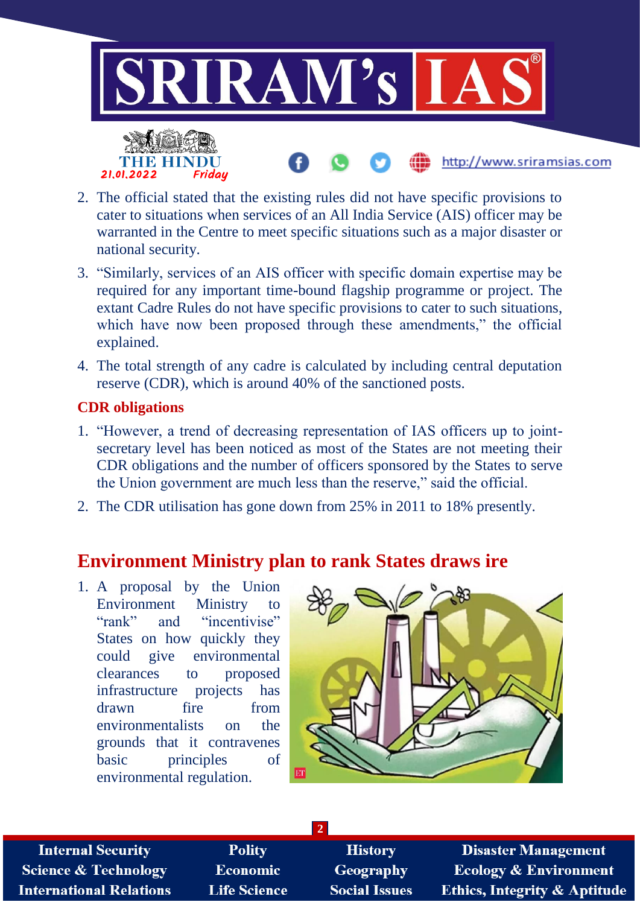

- 2. The official stated that the existing rules did not have specific provisions to cater to situations when services of an All India Service (AIS) officer may be warranted in the Centre to meet specific situations such as a major disaster or national security.
- 3. "Similarly, services of an AIS officer with specific domain expertise may be required for any important time-bound flagship programme or project. The extant Cadre Rules do not have specific provisions to cater to such situations, which have now been proposed through these amendments," the official explained.
- 4. The total strength of any cadre is calculated by including central deputation reserve (CDR), which is around 40% of the sanctioned posts.

# **CDR obligations**

- 1. "However, a trend of decreasing representation of IAS officers up to jointsecretary level has been noticed as most of the States are not meeting their CDR obligations and the number of officers sponsored by the States to serve the Union government are much less than the reserve," said the official.
- 2. The CDR utilisation has gone down from 25% in 2011 to 18% presently.

# **Environment Ministry plan to rank States draws ire**

1. A proposal by the Union Environment Ministry to "rank" and "incentivise" States on how quickly they could give environmental clearances to proposed infrastructure projects has drawn fire from environmentalists on the grounds that it contravenes basic principles of environmental regulation.



**Internal Security Science & Technology International Relations** 

**Polity Economic Life Science** 

**History** Geography **Social Issues** 

**2**

**Disaster Management Ecology & Environment Ethics, Integrity & Aptitude**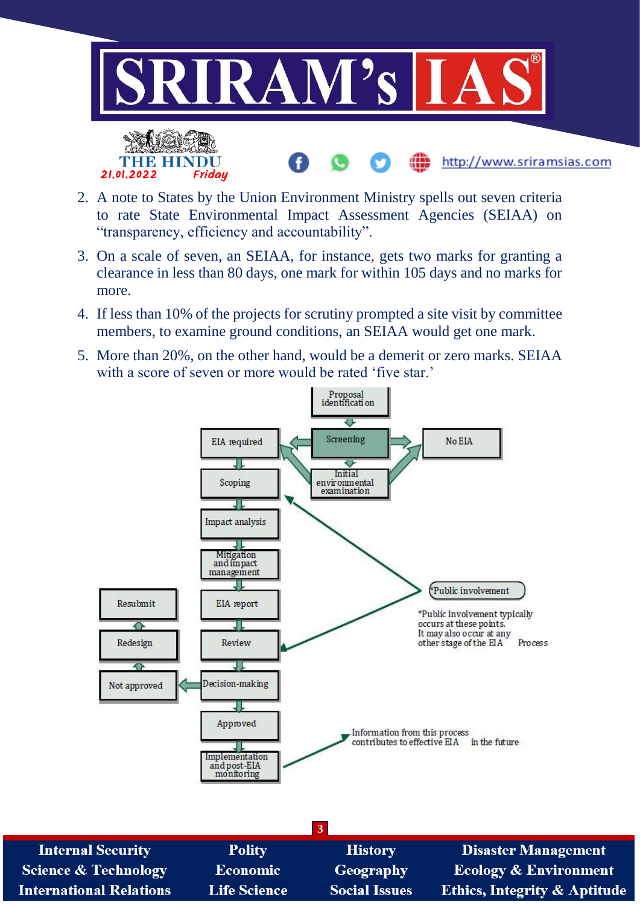

- 2. A note to States by the Union Environment Ministry spells out seven criteria to rate State Environmental Impact Assessment Agencies (SEIAA) on "transparency, efficiency and accountability".
- 3. On a scale of seven, an SEIAA, for instance, gets two marks for granting a clearance in less than 80 days, one mark for within 105 days and no marks for more.
- 4. If less than 10% of the projects for scrutiny prompted a site visit by committee members, to examine ground conditions, an SEIAA would get one mark.
- 5. More than 20%, on the other hand, would be a demerit or zero marks. SEIAA with a score of seven or more would be rated 'five star.'

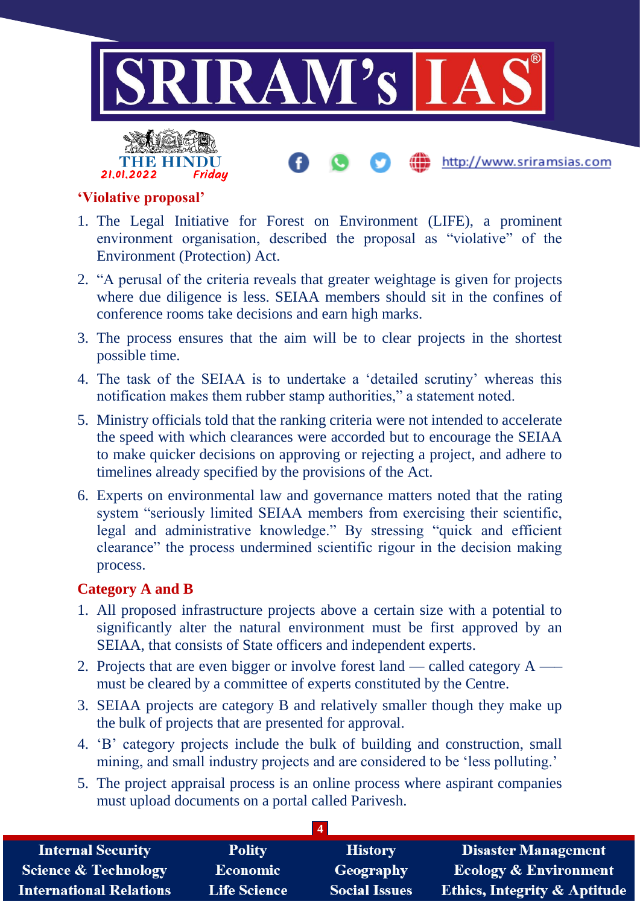



http://www.sriramsias.com

#### **'Violative proposal'**

- 1. The Legal Initiative for Forest on Environment (LIFE), a prominent environment organisation, described the proposal as "violative" of the Environment (Protection) Act.
- 2. "A perusal of the criteria reveals that greater weightage is given for projects where due diligence is less. SEIAA members should sit in the confines of conference rooms take decisions and earn high marks.
- 3. The process ensures that the aim will be to clear projects in the shortest possible time.
- 4. The task of the SEIAA is to undertake a 'detailed scrutiny' whereas this notification makes them rubber stamp authorities," a statement noted.
- 5. Ministry officials told that the ranking criteria were not intended to accelerate the speed with which clearances were accorded but to encourage the SEIAA to make quicker decisions on approving or rejecting a project, and adhere to timelines already specified by the provisions of the Act.
- 6. Experts on environmental law and governance matters noted that the rating system "seriously limited SEIAA members from exercising their scientific, legal and administrative knowledge." By stressing "quick and efficient clearance" the process undermined scientific rigour in the decision making process.

#### **Category A and B**

- 1. All proposed infrastructure projects above a certain size with a potential to significantly alter the natural environment must be first approved by an SEIAA, that consists of State officers and independent experts.
- 2. Projects that are even bigger or involve forest land called category A —– must be cleared by a committee of experts constituted by the Centre.
- 3. SEIAA projects are category B and relatively smaller though they make up the bulk of projects that are presented for approval.
- 4. 'B' category projects include the bulk of building and construction, small mining, and small industry projects and are considered to be 'less polluting.'
- 5. The project appraisal process is an online process where aspirant companies must upload documents on a portal called Parivesh.

| <b>Internal Security</b>        | <b>Polity</b>       | <b>History</b>       | <b>Disaster Management</b>              |  |  |
|---------------------------------|---------------------|----------------------|-----------------------------------------|--|--|
| <b>Science &amp; Technology</b> | Economic            | <b>Geography</b>     | <b>Ecology &amp; Environment</b>        |  |  |
| <b>International Relations</b>  | <b>Life Science</b> | <b>Social Issues</b> | <b>Ethics, Integrity &amp; Aptitude</b> |  |  |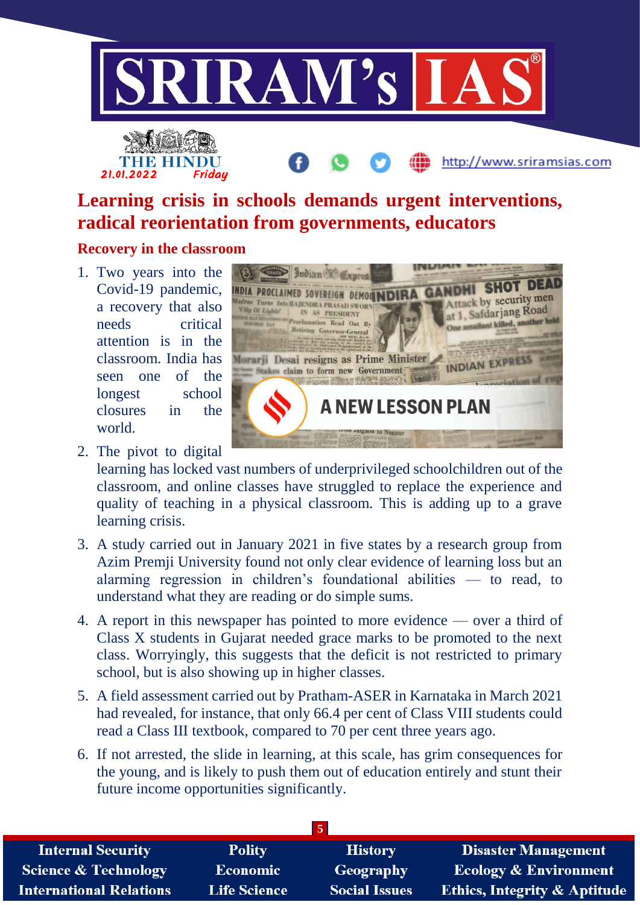





# **Learning crisis in schools demands urgent interventions, radical reorientation from governments, educators**

## **Recovery in the classroom**

1. Two years into the Covid-19 pandemic, a recovery that also needs critical attention is in the classroom. India has seen one of the longest school closures in the world.



2. The pivot to digital

learning has locked vast numbers of underprivileged schoolchildren out of the classroom, and online classes have struggled to replace the experience and quality of teaching in a physical classroom. This is adding up to a grave learning crisis.

- 3. A study carried out in January 2021 in five states by a research group from Azim Premji University found not only clear evidence of learning loss but an alarming regression in children's foundational abilities — to read, to understand what they are reading or do simple sums.
- 4. A report in this newspaper has pointed to more evidence over a third of Class X students in Gujarat needed grace marks to be promoted to the next class. Worryingly, this suggests that the deficit is not restricted to primary school, but is also showing up in higher classes.
- 5. A field assessment carried out by Pratham-ASER in Karnataka in March 2021 had revealed, for instance, that only 66.4 per cent of Class VIII students could read a Class III textbook, compared to 70 per cent three years ago.
- 6. If not arrested, the slide in learning, at this scale, has grim consequences for the young, and is likely to push them out of education entirely and stunt their future income opportunities significantly.

| <b>Internal Security</b>        | <b>Polity</b>       | <b>History</b>       | <b>Disaster Management</b>              |
|---------------------------------|---------------------|----------------------|-----------------------------------------|
| <b>Science &amp; Technology</b> | <b>Economic</b>     | <b>Geography</b>     | <b>Ecology &amp; Environment</b>        |
| <b>International Relations</b>  | <b>Life Science</b> | <b>Social Issues</b> | <b>Ethics, Integrity &amp; Aptitude</b> |